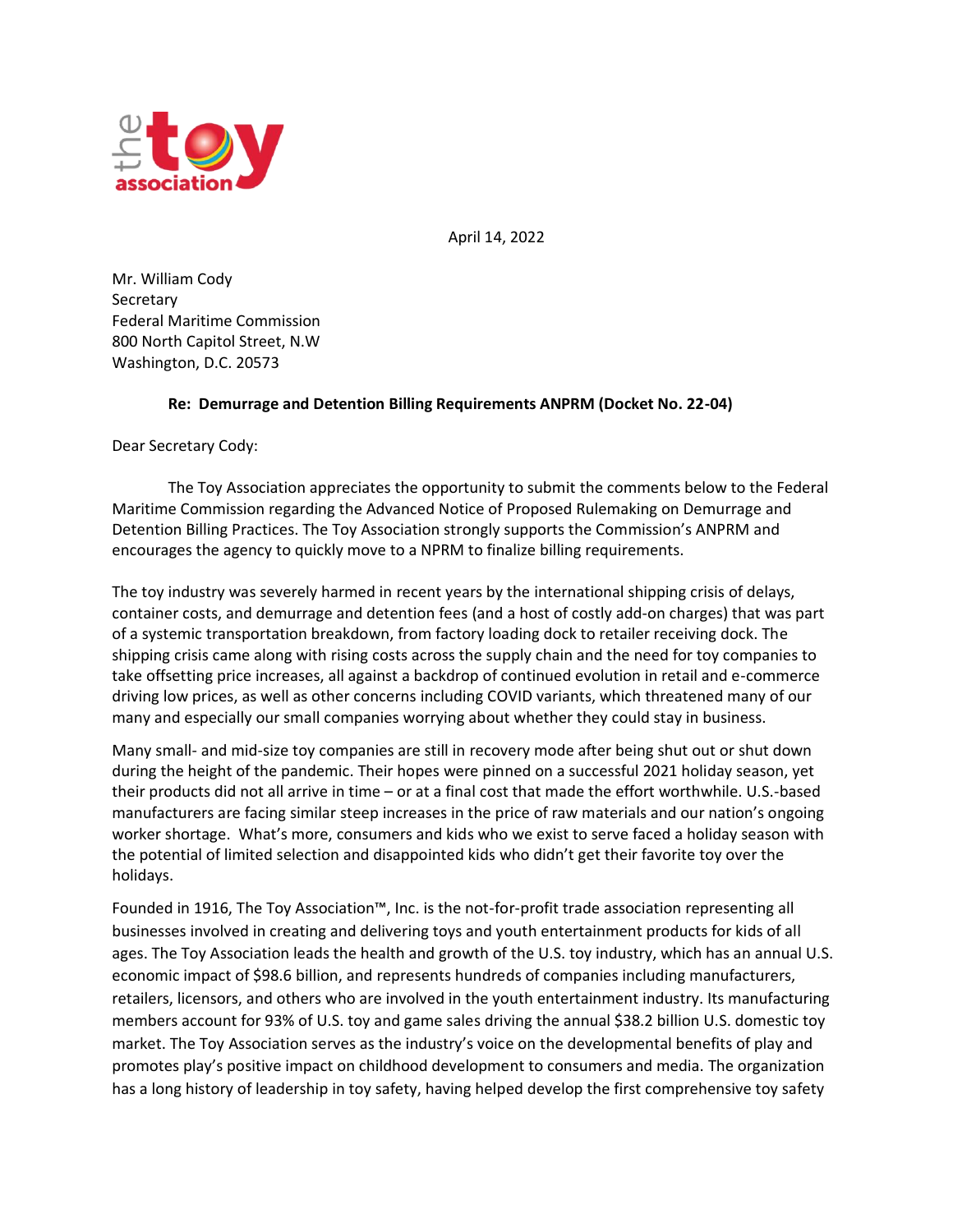

April 14, 2022

Mr. William Cody **Secretary** Federal Maritime Commission 800 North Capitol Street, N.W Washington, D.C. 20573

## **Re: Demurrage and Detention Billing Requirements ANPRM (Docket No. 22-04)**

Dear Secretary Cody:

The Toy Association appreciates the opportunity to submit the comments below to the Federal Maritime Commission regarding the Advanced Notice of Proposed Rulemaking on Demurrage and Detention Billing Practices. The Toy Association strongly supports the Commission's ANPRM and encourages the agency to quickly move to a NPRM to finalize billing requirements.

The toy industry was severely harmed in recent years by the international shipping crisis of delays, container costs, and demurrage and detention fees (and a host of costly add-on charges) that was part of a systemic transportation breakdown, from factory loading dock to retailer receiving dock. The shipping crisis came along with rising costs across the supply chain and the need for toy companies to take offsetting price increases, all against a backdrop of continued evolution in retail and e-commerce driving low prices, as well as other concerns including COVID variants, which threatened many of our many and especially our small companies worrying about whether they could stay in business.

Many small- and mid-size toy companies are still in recovery mode after being shut out or shut down during the height of the pandemic. Their hopes were pinned on a successful 2021 holiday season, yet their products did not all arrive in time – or at a final cost that made the effort worthwhile. U.S.-based manufacturers are facing similar steep increases in the price of raw materials and our nation's ongoing worker shortage. What's more, consumers and kids who we exist to serve faced a holiday season with the potential of limited selection and disappointed kids who didn't get their favorite toy over the holidays.

Founded in 1916, The Toy Association™, Inc. is the not-for-profit trade association representing all businesses involved in creating and delivering toys and youth entertainment products for kids of all ages. The Toy Association leads the health and growth of the U.S. toy industry, which has an annual U.S. economic impact of \$98.6 billion, and represents hundreds of companies including manufacturers, retailers, licensors, and others who are involved in the youth entertainment industry. Its manufacturing members account for 93% of U.S. toy and game sales driving the annual \$38.2 billion U.S. domestic toy market. The Toy Association serves as the industry's voice on the developmental benefits of play and promotes play's positive impact on childhood development to consumers and media. The organization has a long history of leadership in toy safety, having helped develop the first comprehensive toy safety